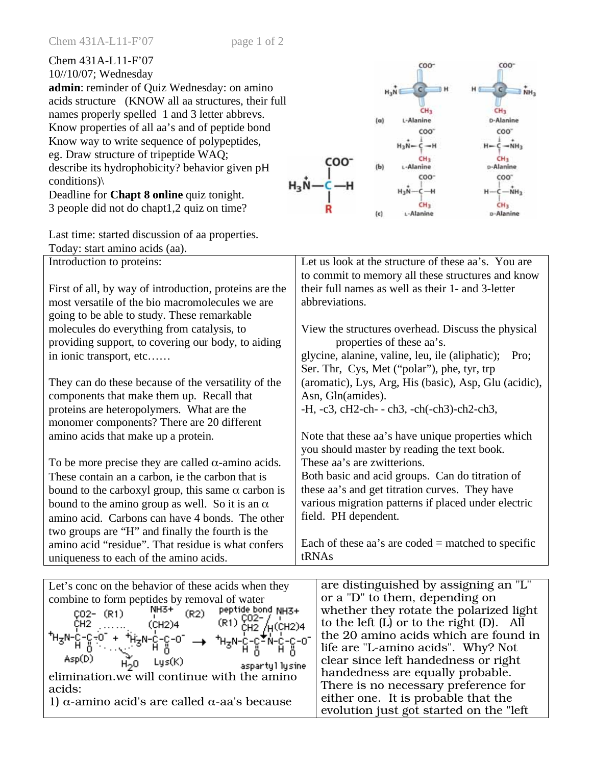| Chem 431A-L11-F'07<br>$10/10/07$ ; Wednesday        |  |  |  |
|-----------------------------------------------------|--|--|--|
| <b>admin:</b> reminder of Quiz Wednesday: on amino  |  |  |  |
| acids structure (KNOW all aa structures, their full |  |  |  |
| names properly spelled 1 and 3 letter abbrevs.      |  |  |  |
| Know properties of all aa's and of peptide bond     |  |  |  |
| Know way to write sequence of polypeptides,         |  |  |  |
| eg. Draw structure of tripeptide WAQ;               |  |  |  |
| describe its hydrophobicity? behavior given pH      |  |  |  |
| conditions)                                         |  |  |  |
| Deadline for <b>Chapt 8 online</b> quiz tonight.    |  |  |  |
| 3 people did not do chapt1,2 quiz on time?          |  |  |  |

Last time: started discussion of aa. Today: start amino acids (aa).

Introduction to proteins:

First of all, by way of introduction, proteins are the most versatile of the bio macromolecules we are going to be able to study. These remarkable molecules do everything from catalysis, to providing support, to covering our body, to aiding in ionic transport, etc……

They can do these because of the versatility of the components that make them up. Recall that proteins are heteropolymers. What are the monomer components? There are 20 different amino acids that make up a protein.

To be more precise they are called  $\alpha$ -amino acids. These contain an a carbon, ie the carbon that is bound to the carboxyl group, this same  $\alpha$  carbon is bound to the amino group as well. So it is an  $\alpha$ amino acid. Carbons can have 4 bonds. The other two groups are "H" and finally the fourth is the amino acid "residue". That residue is what confers uniqueness to each of the amino acids.

| olypeptides,<br>AQ;<br>vior given pH<br>tonight. | COO <sup>.</sup><br>(b)                                                                                                                                       | $H_2N-$<br>CH3<br>L-Alanine<br>coo. | $H - C - NH2$<br>p-Alanine<br>coo.<br>$-MH3$ |  |
|--------------------------------------------------|---------------------------------------------------------------------------------------------------------------------------------------------------------------|-------------------------------------|----------------------------------------------|--|
| on time?                                         | (c)                                                                                                                                                           | CH3<br>L-Alanine                    | p-Alanine                                    |  |
| . properties.                                    |                                                                                                                                                               |                                     |                                              |  |
| n. proteins are the                              | Let us look at the structure of these aa's. You are<br>to commit to memory all these structures and know<br>their full names as well as their 1- and 3-letter |                                     |                                              |  |

 $(a)$ 

abbreviations.

View the structures overhead. Discuss the physical properties of these aa's. glycine, alanine, valine, leu, ile (aliphatic); Pro; Ser. Thr, Cys, Met ("polar"), phe, tyr, trp (aromatic), Lys, Arg, His (basic), Asp, Glu (acidic), Asn, Gln(amides). -H, -c3, cH2-ch- - ch3, -ch(-ch3)-ch2-ch3,

COO<sup>-</sup>

CH<sub>2</sub>

L-Alanine

 $COO^-$ 

 $\vec{v}_{\text{NH}}$ 

C)

CH<sub>3</sub>

**D-Alanine** 

Note that these aa's have unique properties which you should master by reading the text book. These aa's are zwitterions. Both basic and acid groups. Can do titration of

these aa's and get titration curves. They have various migration patterns if placed under electric field. PH dependent.

Each of these aa's are coded  $=$  matched to specific tRNAs

| Let's conc on the behavior of these acids when they                                        | are distinguished by assigning an "L"         |
|--------------------------------------------------------------------------------------------|-----------------------------------------------|
| combine to form peptides by removal of water                                               | or a "D" to them, depending on                |
| $N=1$<br>$(0.2)$ peptide bond NH3+<br>$C02 - (R1)$                                         | whether they rotate the polarized light       |
| $(R1)$ CO <sub>2</sub> - $/$ <sub>H</sub> (CH <sub>2</sub> )4<br>CH <sub>2</sub><br>(CH2)4 | to the left $(L)$ or to the right $(D)$ . All |
|                                                                                            | the 20 amino acids which are found in         |
| ᡮᢂ᠆ᡗ᠆ᡗ᠆᠙᠆ᢆ᠙᠆ᡮᢥᡃᢂ᠆ᡗ᠆᠙᠆᠐ᢆ᠆᠆ᢣ᠂ᡮᡰᢋᠰ᠆᠒᠆ᢗ <b>ᢩ᠆</b> ᢥ᠆ᡭ᠆ᢗ᠆᠐<br>᠂ᡏᡰ᠗ᢆ᠅᠅᠅᠅᠅᠅᠅᠅ᢆᡰᡰ᠗                 | life are "L-amino acids". Why? Not            |
| Asp(D)<br>Lys(K)<br>H.O<br>aspartyl lysine                                                 | clear since left handedness or right          |
| elimination.we will continue with the amino                                                | handedness are equally probable.              |
| acids:                                                                                     | There is no necessary preference for          |
| 1) α-amino acid's are called α-aa's because                                                | either one. It is probable that the           |
|                                                                                            | evolution just got started on the "left"      |